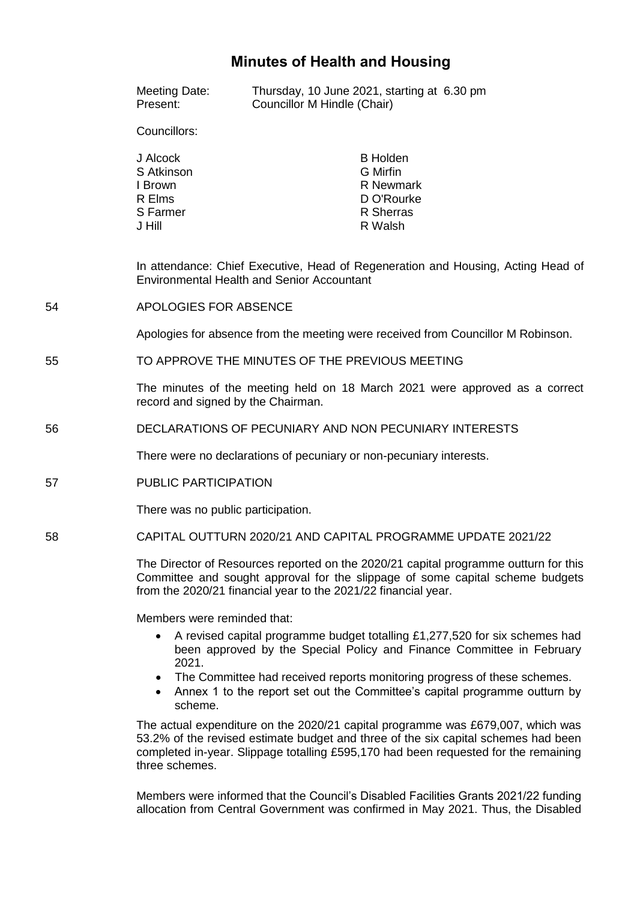# **Minutes of Health and Housing**

|    | Meeting Date:<br>Present:                                                                                                                                                                                                               | Thursday, 10 June 2021, starting at 6.30 pm<br>Councillor M Hindle (Chair)                                                                                                                                                                                                                                     |  |
|----|-----------------------------------------------------------------------------------------------------------------------------------------------------------------------------------------------------------------------------------------|----------------------------------------------------------------------------------------------------------------------------------------------------------------------------------------------------------------------------------------------------------------------------------------------------------------|--|
|    | Councillors:                                                                                                                                                                                                                            |                                                                                                                                                                                                                                                                                                                |  |
|    | J Alcock<br>S Atkinson<br>I Brown<br>R Elms<br>S Farmer<br>J Hill                                                                                                                                                                       | <b>B</b> Holden<br><b>G</b> Mirfin<br><b>R</b> Newmark<br>D O'Rourke<br>R Sherras<br>R Walsh                                                                                                                                                                                                                   |  |
|    | In attendance: Chief Executive, Head of Regeneration and Housing, Acting Head of<br><b>Environmental Health and Senior Accountant</b>                                                                                                   |                                                                                                                                                                                                                                                                                                                |  |
| 54 | APOLOGIES FOR ABSENCE                                                                                                                                                                                                                   |                                                                                                                                                                                                                                                                                                                |  |
|    | Apologies for absence from the meeting were received from Councillor M Robinson.                                                                                                                                                        |                                                                                                                                                                                                                                                                                                                |  |
| 55 | TO APPROVE THE MINUTES OF THE PREVIOUS MEETING                                                                                                                                                                                          |                                                                                                                                                                                                                                                                                                                |  |
|    | The minutes of the meeting held on 18 March 2021 were approved as a correct<br>record and signed by the Chairman.                                                                                                                       |                                                                                                                                                                                                                                                                                                                |  |
| 56 | DECLARATIONS OF PECUNIARY AND NON PECUNIARY INTERESTS                                                                                                                                                                                   |                                                                                                                                                                                                                                                                                                                |  |
|    | There were no declarations of pecuniary or non-pecuniary interests.                                                                                                                                                                     |                                                                                                                                                                                                                                                                                                                |  |
| 57 | PUBLIC PARTICIPATION                                                                                                                                                                                                                    |                                                                                                                                                                                                                                                                                                                |  |
|    | There was no public participation.                                                                                                                                                                                                      |                                                                                                                                                                                                                                                                                                                |  |
| 58 |                                                                                                                                                                                                                                         | CAPITAL OUTTURN 2020/21 AND CAPITAL PROGRAMME UPDATE 2021/22                                                                                                                                                                                                                                                   |  |
|    | The Director of Resources reported on the 2020/21 capital programme outturn for this<br>Committee and sought approval for the slippage of some capital scheme budgets<br>from the 2020/21 financial year to the 2021/22 financial year. |                                                                                                                                                                                                                                                                                                                |  |
|    | Members were reminded that:                                                                                                                                                                                                             |                                                                                                                                                                                                                                                                                                                |  |
|    | 2021.<br>$\bullet$<br>scheme.                                                                                                                                                                                                           | A revised capital programme budget totalling £1,277,520 for six schemes had<br>been approved by the Special Policy and Finance Committee in February<br>The Committee had received reports monitoring progress of these schemes.<br>Annex 1 to the report set out the Committee's capital programme outturn by |  |
|    |                                                                                                                                                                                                                                         |                                                                                                                                                                                                                                                                                                                |  |

The actual expenditure on the 2020/21 capital programme was £679,007, which was 53.2% of the revised estimate budget and three of the six capital schemes had been completed in-year. Slippage totalling £595,170 had been requested for the remaining three schemes.

Members were informed that the Council's Disabled Facilities Grants 2021/22 funding allocation from Central Government was confirmed in May 2021. Thus, the Disabled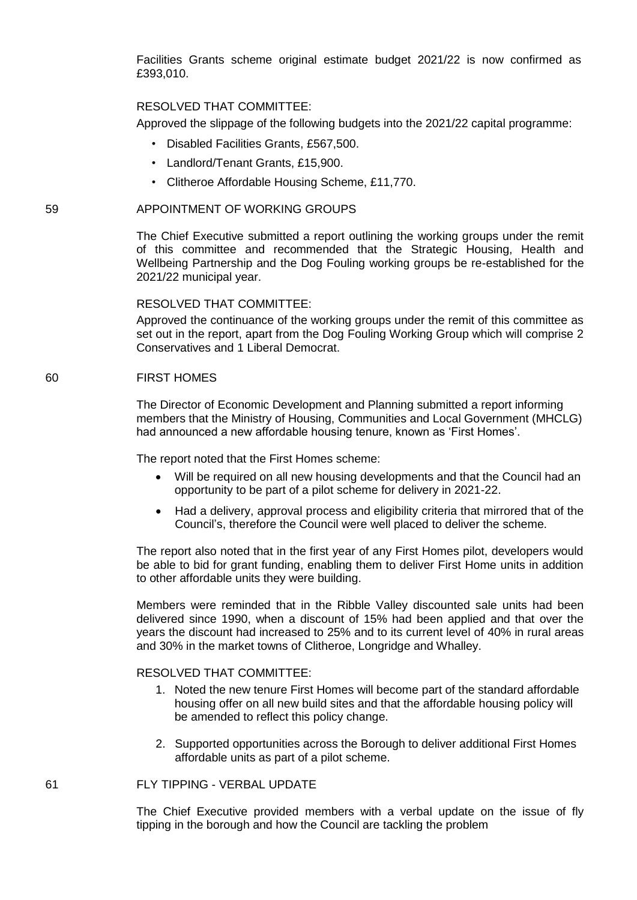Facilities Grants scheme original estimate budget 2021/22 is now confirmed as £393,010.

#### RESOLVED THAT COMMITTEE:

Approved the slippage of the following budgets into the 2021/22 capital programme:

- Disabled Facilities Grants, £567,500.
- Landlord/Tenant Grants, £15,900.
- Clitheroe Affordable Housing Scheme, £11,770.

#### 59 APPOINTMENT OF WORKING GROUPS

The Chief Executive submitted a report outlining the working groups under the remit of this committee and recommended that the Strategic Housing, Health and Wellbeing Partnership and the Dog Fouling working groups be re-established for the 2021/22 municipal year.

#### RESOLVED THAT COMMITTEE:

Approved the continuance of the working groups under the remit of this committee as set out in the report, apart from the Dog Fouling Working Group which will comprise 2 Conservatives and 1 Liberal Democrat.

#### 60 FIRST HOMES

The Director of Economic Development and Planning submitted a report informing members that the Ministry of Housing, Communities and Local Government (MHCLG) had announced a new affordable housing tenure, known as 'First Homes'.

The report noted that the First Homes scheme:

- Will be required on all new housing developments and that the Council had an opportunity to be part of a pilot scheme for delivery in 2021-22.
- Had a delivery, approval process and eligibility criteria that mirrored that of the Council's, therefore the Council were well placed to deliver the scheme.

The report also noted that in the first year of any First Homes pilot, developers would be able to bid for grant funding, enabling them to deliver First Home units in addition to other affordable units they were building.

Members were reminded that in the Ribble Valley discounted sale units had been delivered since 1990, when a discount of 15% had been applied and that over the years the discount had increased to 25% and to its current level of 40% in rural areas and 30% in the market towns of Clitheroe, Longridge and Whalley.

## RESOLVED THAT COMMITTEE:

- 1. Noted the new tenure First Homes will become part of the standard affordable housing offer on all new build sites and that the affordable housing policy will be amended to reflect this policy change.
- 2. Supported opportunities across the Borough to deliver additional First Homes affordable units as part of a pilot scheme.

#### 61 FLY TIPPING - VERBAL UPDATE

The Chief Executive provided members with a verbal update on the issue of fly tipping in the borough and how the Council are tackling the problem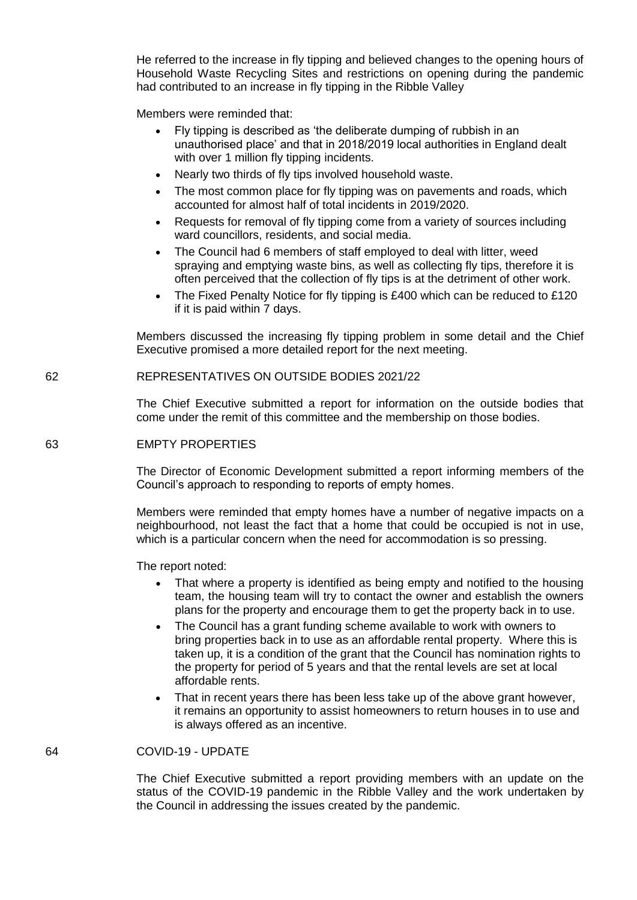He referred to the increase in fly tipping and believed changes to the opening hours of Household Waste Recycling Sites and restrictions on opening during the pandemic had contributed to an increase in fly tipping in the Ribble Valley

Members were reminded that:

- Fly tipping is described as 'the deliberate dumping of rubbish in an unauthorised place' and that in 2018/2019 local authorities in England dealt with over 1 million fly tipping incidents.
- Nearly two thirds of fly tips involved household waste.
- The most common place for fly tipping was on pavements and roads, which accounted for almost half of total incidents in 2019/2020.
- Requests for removal of fly tipping come from a variety of sources including ward councillors, residents, and social media.
- The Council had 6 members of staff employed to deal with litter, weed spraying and emptying waste bins, as well as collecting fly tips, therefore it is often perceived that the collection of fly tips is at the detriment of other work.
- The Fixed Penalty Notice for fly tipping is £400 which can be reduced to £120 if it is paid within 7 days.

Members discussed the increasing fly tipping problem in some detail and the Chief Executive promised a more detailed report for the next meeting.

62 REPRESENTATIVES ON OUTSIDE BODIES 2021/22

The Chief Executive submitted a report for information on the outside bodies that come under the remit of this committee and the membership on those bodies.

#### 63 EMPTY PROPERTIES

The Director of Economic Development submitted a report informing members of the Council's approach to responding to reports of empty homes.

Members were reminded that empty homes have a number of negative impacts on a neighbourhood, not least the fact that a home that could be occupied is not in use, which is a particular concern when the need for accommodation is so pressing.

The report noted:

- That where a property is identified as being empty and notified to the housing team, the housing team will try to contact the owner and establish the owners plans for the property and encourage them to get the property back in to use.
- The Council has a grant funding scheme available to work with owners to bring properties back in to use as an affordable rental property. Where this is taken up, it is a condition of the grant that the Council has nomination rights to the property for period of 5 years and that the rental levels are set at local affordable rents.
- That in recent years there has been less take up of the above grant however, it remains an opportunity to assist homeowners to return houses in to use and is always offered as an incentive.

#### 64 COVID-19 - UPDATE

The Chief Executive submitted a report providing members with an update on the status of the COVID-19 pandemic in the Ribble Valley and the work undertaken by the Council in addressing the issues created by the pandemic.